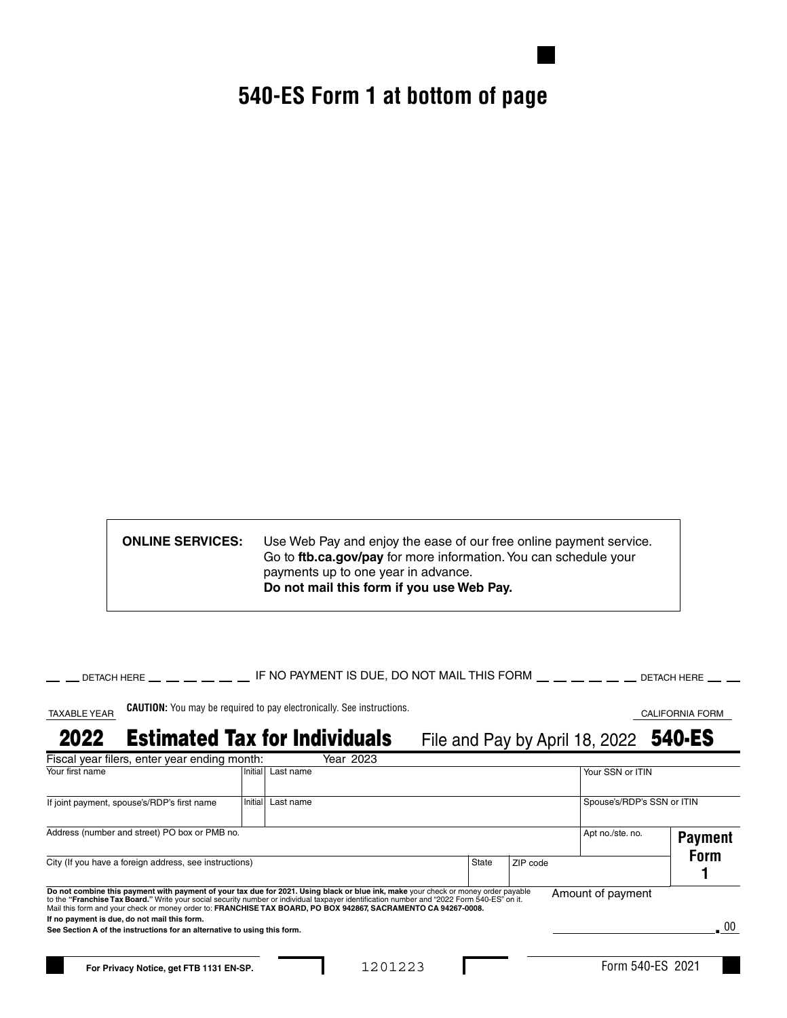# **540-ES Form 1 at bottom of page**

**ONLINE SERVICES:** Use Web Pay and enjoy the ease of our free online payment service. Go to **ftb.ca.gov/pay** for more information. You can schedule your payments up to one year in advance. **Do not mail this form if you use Web Pay.**

|                                                                                                                                                                                                                                                                                                                                                                                                    |                |                                                                              | . DETACH HERE __ __ __ __ __ __ IF NO PAYMENT IS DUE, DO NOT MAIL THIS FORM __ __ __ __ __ DETACH HERE __ _ |          |                                       |                        |
|----------------------------------------------------------------------------------------------------------------------------------------------------------------------------------------------------------------------------------------------------------------------------------------------------------------------------------------------------------------------------------------------------|----------------|------------------------------------------------------------------------------|-------------------------------------------------------------------------------------------------------------|----------|---------------------------------------|------------------------|
| <b>TAXABLE YEAR</b>                                                                                                                                                                                                                                                                                                                                                                                |                | <b>CAUTION:</b> You may be required to pay electronically. See instructions. |                                                                                                             |          |                                       | <b>CALIFORNIA FORM</b> |
| 2022                                                                                                                                                                                                                                                                                                                                                                                               |                | <b>Estimated Tax for Individuals</b>                                         |                                                                                                             |          | File and Pay by April 18, 2022 540-ES |                        |
| Fiscal year filers, enter year ending month:                                                                                                                                                                                                                                                                                                                                                       |                | Year 2023                                                                    |                                                                                                             |          |                                       |                        |
| Your first name                                                                                                                                                                                                                                                                                                                                                                                    |                | Initiall Last name                                                           |                                                                                                             |          | Your SSN or ITIN                      |                        |
| If joint payment, spouse's/RDP's first name                                                                                                                                                                                                                                                                                                                                                        | <b>Initial</b> | Last name                                                                    |                                                                                                             |          | Spouse's/RDP's SSN or ITIN            |                        |
| Address (number and street) PO box or PMB no.                                                                                                                                                                                                                                                                                                                                                      |                |                                                                              |                                                                                                             |          | Apt no./ste. no.                      | <b>Payment</b>         |
| City (If you have a foreign address, see instructions)                                                                                                                                                                                                                                                                                                                                             |                |                                                                              | <b>State</b>                                                                                                | ZIP code |                                       | <b>Form</b>            |
| Do not combine this payment with payment of your tax due for 2021. Using black or blue ink, make your check or money order payable<br>to the "Franchise Tax Board." Write your social security number or individual taxpayer identification number and "2022 Form 540-ES" on it.<br>Mail this form and your check or money order to: FRANCHISE TAX BOARD, PO BOX 942867, SACRAMENTO CA 94267-0008. |                |                                                                              |                                                                                                             |          | Amount of payment                     |                        |
| If no payment is due, do not mail this form.                                                                                                                                                                                                                                                                                                                                                       |                |                                                                              |                                                                                                             |          |                                       |                        |
| See Section A of the instructions for an alternative to using this form.                                                                                                                                                                                                                                                                                                                           |                |                                                                              |                                                                                                             |          |                                       | - 00                   |
| For Privacy Notice, get FTB 1131 EN-SP.                                                                                                                                                                                                                                                                                                                                                            |                | 1201223                                                                      |                                                                                                             |          |                                       | Form 540-ES 2021       |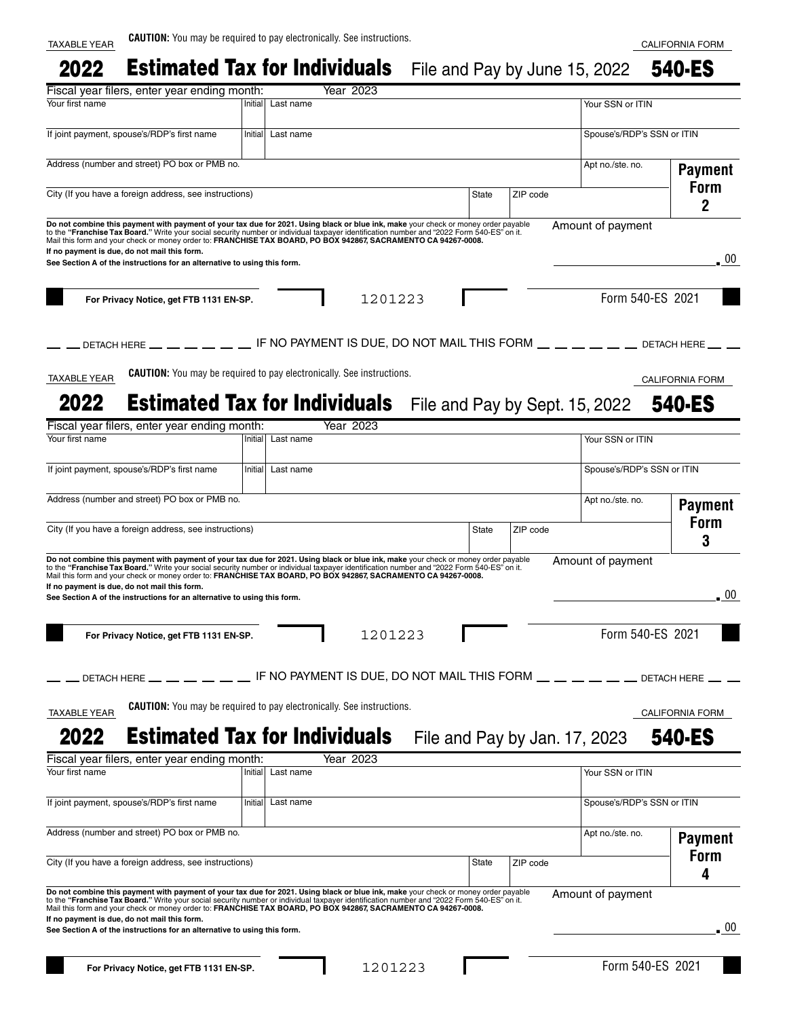#### **Estimated Tax for Individuals** File and Pay by June 15, 2022 **540-ES** 2022

| Fiscal year filers, enter year ending month:                                                                             |                  | Year 2023                                                                                                                                                                                                                                                                                                                                                                                          |       |                               |                                       |                        |  |  |
|--------------------------------------------------------------------------------------------------------------------------|------------------|----------------------------------------------------------------------------------------------------------------------------------------------------------------------------------------------------------------------------------------------------------------------------------------------------------------------------------------------------------------------------------------------------|-------|-------------------------------|---------------------------------------|------------------------|--|--|
| Your first name                                                                                                          | Initial          | Last name                                                                                                                                                                                                                                                                                                                                                                                          |       |                               | Your SSN or ITIN                      |                        |  |  |
| If joint payment, spouse's/RDP's first name                                                                              | Initial          | Last name                                                                                                                                                                                                                                                                                                                                                                                          |       |                               | Spouse's/RDP's SSN or ITIN            |                        |  |  |
| Address (number and street) PO box or PMB no.                                                                            |                  |                                                                                                                                                                                                                                                                                                                                                                                                    |       |                               | Apt no./ste. no.                      | <b>Payment</b>         |  |  |
| City (If you have a foreign address, see instructions)                                                                   |                  |                                                                                                                                                                                                                                                                                                                                                                                                    | State | ZIP code                      |                                       | <b>Form</b><br>2       |  |  |
| If no payment is due, do not mail this form.<br>See Section A of the instructions for an alternative to using this form. |                  | Do not combine this payment with payment of your tax due for 2021. Using black or blue ink, make your check or money order payable<br>to the "Franchise Tax Board." Write your social security number or individual taxpayer identification number and "2022 Form 540-ES" on it.<br>Mail this form and your check or money order to: FRANCHISE TAX BOARD, PO BOX 942867, SACRAMENTO CA 94267-0008. |       |                               | Amount of payment                     | $\cdot$ 00             |  |  |
| For Privacy Notice, get FTB 1131 EN-SP.                                                                                  |                  | 1201223                                                                                                                                                                                                                                                                                                                                                                                            |       |                               | Form 540-ES 2021                      |                        |  |  |
|                                                                                                                          |                  | DETACH HERE $\_\_\_\_\_\_\_\_\_\$ IF NO PAYMENT IS DUE, DO NOT MAIL THIS FORM $\_\_\_\_\_\_\_\_\_\_\_\_\_\_\_\_\$ DETACH HERE $\_\_\_\_\_\_\_\$                                                                                                                                                                                                                                                    |       |                               |                                       |                        |  |  |
| <b>TAXABLE YEAR</b>                                                                                                      |                  | <b>CAUTION:</b> You may be required to pay electronically. See instructions.                                                                                                                                                                                                                                                                                                                       |       |                               |                                       | CALIFORNIA FORM        |  |  |
| 2022                                                                                                                     |                  | <b>Estimated Tax for Individuals</b>                                                                                                                                                                                                                                                                                                                                                               |       |                               | File and Pay by Sept. 15, 2022 540-ES |                        |  |  |
| Fiscal year filers, enter year ending month:<br>Your first name                                                          | Initial          | Year 2023<br>Last name                                                                                                                                                                                                                                                                                                                                                                             |       |                               | Your SSN or ITIN                      |                        |  |  |
| If joint payment, spouse's/RDP's first name                                                                              | <b>Initial</b>   | Last name                                                                                                                                                                                                                                                                                                                                                                                          |       |                               | Spouse's/RDP's SSN or ITIN            |                        |  |  |
| Address (number and street) PO box or PMB no.                                                                            | Apt no./ste. no. |                                                                                                                                                                                                                                                                                                                                                                                                    |       |                               |                                       |                        |  |  |
| City (If you have a foreign address, see instructions)                                                                   |                  |                                                                                                                                                                                                                                                                                                                                                                                                    | State | ZIP code                      |                                       | <b>Form</b><br>3       |  |  |
| If no payment is due, do not mail this form.<br>See Section A of the instructions for an alternative to using this form. |                  | Do not combine this payment with payment of your tax due for 2021. Using black or blue ink, make your check or money order payable<br>to the "Franchise Tax Board." Write your social security number or individual taxpayer identification number and "2022 Form 540-ES" on it.<br>Mail this form and your check or money order to: FRANCHISE TAX BOARD, PO BOX 942867, SACRAMENTO CA 94267-0008. |       |                               | Amount of payment                     | -00                    |  |  |
| For Privacy Notice, get FTB 1131 EN-SP.                                                                                  |                  | 1201223                                                                                                                                                                                                                                                                                                                                                                                            |       |                               | Form 540-ES 2021                      |                        |  |  |
| DETACH HERE _                                                                                                            |                  | IF NO PAYMENT IS DUE, DO NOT MAIL THIS FORM $\_\_\_\_\_\_\_\_\_$                                                                                                                                                                                                                                                                                                                                   |       |                               |                                       | <b>DETACH HERE</b>     |  |  |
| <b>TAXABLE YEAR</b>                                                                                                      |                  | <b>CAUTION:</b> You may be required to pay electronically. See instructions.                                                                                                                                                                                                                                                                                                                       |       |                               |                                       | <b>CALIFORNIA FORM</b> |  |  |
| 2022                                                                                                                     |                  | <b>Estimated Tax for Individuals</b>                                                                                                                                                                                                                                                                                                                                                               |       | File and Pay by Jan. 17, 2023 |                                       | <b>540-ES</b>          |  |  |
| Fiscal year filers, enter year ending month:<br>Your first name                                                          | Initial          | Year 2023<br>Last name                                                                                                                                                                                                                                                                                                                                                                             |       |                               | Your SSN or ITIN                      |                        |  |  |
| If joint payment, spouse's/RDP's first name                                                                              | Initial          | Last name                                                                                                                                                                                                                                                                                                                                                                                          |       |                               | Spouse's/RDP's SSN or ITIN            |                        |  |  |
| Address (number and street) PO box or PMB no.                                                                            |                  |                                                                                                                                                                                                                                                                                                                                                                                                    |       |                               | Apt no./ste. no.                      | <b>Payment</b>         |  |  |
| City (If you have a foreign address, see instructions)                                                                   |                  |                                                                                                                                                                                                                                                                                                                                                                                                    | State | ZIP code                      |                                       | <b>Form</b><br>4       |  |  |
|                                                                                                                          |                  | Do not combine this payment with payment of your tax due for 2021. Using black or blue ink, make your check or money order payable<br>to the "Franchise Tax Board." Write your social security number or individual taxpayer identification number and "2022 Form 540-ES" on it.<br>Mail this form and your check or money order to: FRANCHISE TAX BOARD, PO BOX 942867, SACRAMENTO CA 94267-0008. |       |                               | Amount of payment                     |                        |  |  |
| If no payment is due, do not mail this form.<br>See Section A of the instructions for an alternative to using this form. |                  |                                                                                                                                                                                                                                                                                                                                                                                                    |       |                               |                                       | . 00                   |  |  |
| For Privacy Notice, get FTB 1131 EN-SP.                                                                                  |                  | 1201223                                                                                                                                                                                                                                                                                                                                                                                            |       |                               | Form 540-ES 2021                      |                        |  |  |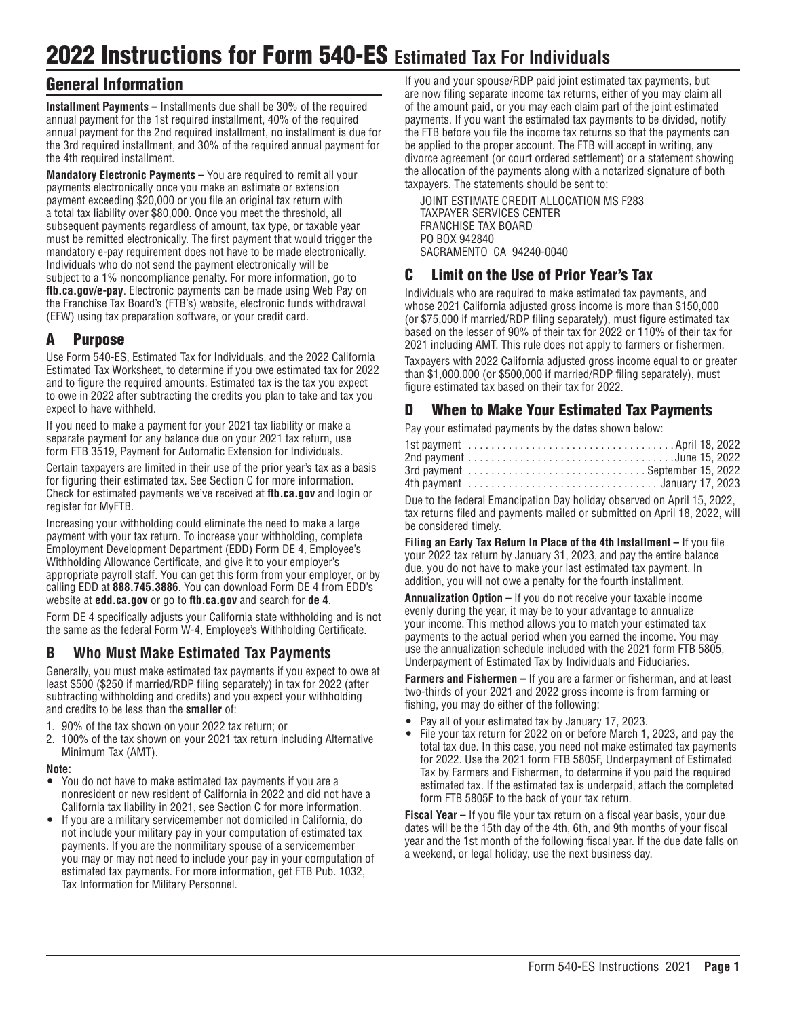# 2022 Instructions for Form 540-ES **Estimated Tax For Individuals**

# General Information

**Installment Payments –** Installments due shall be 30% of the required annual payment for the 1st required installment, 40% of the required annual payment for the 2nd required installment, no installment is due for the 3rd required installment, and 30% of the required annual payment for the 4th required installment.

**Mandatory Electronic Payments –** You are required to remit all your payments electronically once you make an estimate or extension payment exceeding \$20,000 or you file an original tax return with a total tax liability over \$80,000. Once you meet the threshold, all subsequent payments regardless of amount, tax type, or taxable year must be remitted electronically. The first payment that would trigger the mandatory e-pay requirement does not have to be made electronically. Individuals who do not send the payment electronically will be subject to a 1% noncompliance penalty. For more information, go to **ftb.ca.gov/e-pay**. Electronic payments can be made using Web Pay on the Franchise Tax Board's (FTB's) website, electronic funds withdrawal (EFW) using tax preparation software, or your credit card.

#### A Purpose

Use Form 540-ES, Estimated Tax for Individuals, and the 2022 California Estimated Tax Worksheet, to determine if you owe estimated tax for 2022 and to figure the required amounts. Estimated tax is the tax you expect to owe in 2022 after subtracting the credits you plan to take and tax you expect to have withheld.

If you need to make a payment for your 2021 tax liability or make a separate payment for any balance due on your 2021 tax return, use form FTB 3519, Payment for Automatic Extension for Individuals.

Certain taxpayers are limited in their use of the prior year's tax as a basis for figuring their estimated tax. See Section C for more information. Check for estimated payments we've received at **ftb.ca.gov** and login or register for MyFTB.

Increasing your withholding could eliminate the need to make a large payment with your tax return. To increase your withholding, complete Employment Development Department (EDD) Form DE 4, Employee's Withholding Allowance Certificate, and give it to your employer's appropriate payroll staff. You can get this form from your employer, or by calling EDD at **888.745.3886**. You can download Form DE 4 from EDD's website at **edd.ca.gov** or go to **ftb.ca.gov** and search for **de 4**.

Form DE 4 specifically adjusts your California state withholding and is not the same as the federal Form W-4, Employee's Withholding Certificate.

## **B Who Must Make Estimated Tax Payments**

Generally, you must make estimated tax payments if you expect to owe at least \$500 (\$250 if married/RDP filing separately) in tax for 2022 (after subtracting withholding and credits) and you expect your withholding and credits to be less than the **smaller** of:

- 1. 90% of the tax shown on your 2022 tax return; or
- 2. 100% of the tax shown on your 2021 tax return including Alternative Minimum Tax (AMT).

#### **Note:**

- You do not have to make estimated tax payments if you are a nonresident or new resident of California in 2022 and did not have a California tax liability in 2021, see Section C for more information.
- If you are a military servicemember not domiciled in California, do not include your military pay in your computation of estimated tax payments. If you are the nonmilitary spouse of a servicemember you may or may not need to include your pay in your computation of estimated tax payments. For more information, get FTB Pub. 1032, Tax Information for Military Personnel.

If you and your spouse/RDP paid joint estimated tax payments, but are now filing separate income tax returns, either of you may claim all of the amount paid, or you may each claim part of the joint estimated payments. If you want the estimated tax payments to be divided, notify the FTB before you file the income tax returns so that the payments can be applied to the proper account. The FTB will accept in writing, any divorce agreement (or court ordered settlement) or a statement showing the allocation of the payments along with a notarized signature of both taxpayers. The statements should be sent to:

JOINT ESTIMATE CREDIT ALLOCATION MS F283 TAXPAYER SERVICES CENTER FRANCHISE TAX BOARD PO BOX 942840 SACRAMENTO CA 94240-0040

### C Limit on the Use of Prior Year's Tax

Individuals who are required to make estimated tax payments, and whose 2021 California adjusted gross income is more than \$150,000 (or \$75,000 if married/RDP filing separately), must figure estimated tax based on the lesser of 90% of their tax for 2022 or 110% of their tax for 2021 including AMT. This rule does not apply to farmers or fishermen.

Taxpayers with 2022 California adjusted gross income equal to or greater than \$1,000,000 (or \$500,000 if married/RDP filing separately), must figure estimated tax based on their tax for 2022.

### D When to Make Your Estimated Tax Payments

Pay your estimated payments by the dates shown below:

| 3rd payment  September 15, 2022 |  |  |  |  |  |  |  |  |  |  |  |  |  |  |  |  |  |
|---------------------------------|--|--|--|--|--|--|--|--|--|--|--|--|--|--|--|--|--|
|                                 |  |  |  |  |  |  |  |  |  |  |  |  |  |  |  |  |  |
|                                 |  |  |  |  |  |  |  |  |  |  |  |  |  |  |  |  |  |

Due to the federal Emancipation Day holiday observed on April 15, 2022, tax returns filed and payments mailed or submitted on April 18, 2022, will be considered timely.

**Filing an Early Tax Return In Place of the 4th Installment –** If you file your 2022 tax return by January 31, 2023, and pay the entire balance due, you do not have to make your last estimated tax payment. In addition, you will not owe a penalty for the fourth installment.

**Annualization Option –** If you do not receive your taxable income evenly during the year, it may be to your advantage to annualize your income. This method allows you to match your estimated tax payments to the actual period when you earned the income. You may use the annualization schedule included with the 2021 form FTB 5805, Underpayment of Estimated Tax by Individuals and Fiduciaries.

**Farmers and Fishermen –** If you are a farmer or fisherman, and at least two-thirds of your 2021 and 2022 gross income is from farming or fishing, you may do either of the following:

- Pay all of your estimated tax by January 17, 2023.
- File your tax return for 2022 on or before March 1, 2023, and pay the total tax due. In this case, you need not make estimated tax payments for 2022. Use the 2021 form FTB 5805F, Underpayment of Estimated Tax by Farmers and Fishermen, to determine if you paid the required estimated tax. If the estimated tax is underpaid, attach the completed form FTB 5805F to the back of your tax return.

**Fiscal Year –** If you file your tax return on a fiscal year basis, your due dates will be the 15th day of the 4th, 6th, and 9th months of your fiscal year and the 1st month of the following fiscal year. If the due date falls on a weekend, or legal holiday, use the next business day.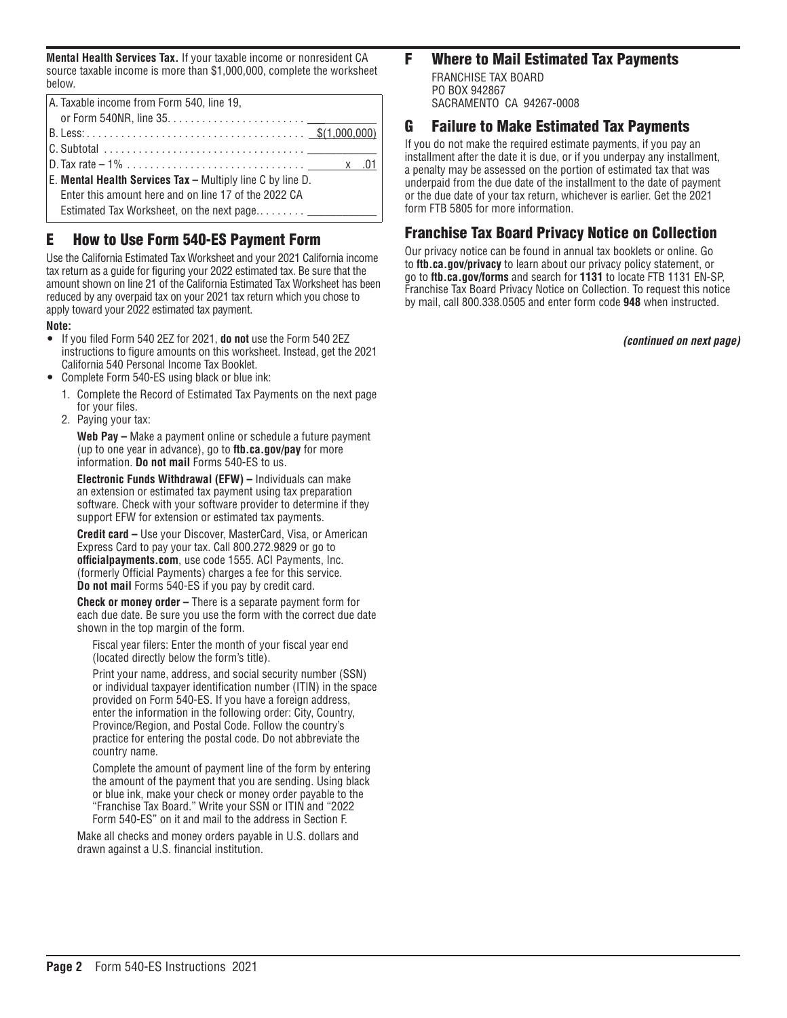**Mental Health Services Tax.** If your taxable income or nonresident CA source taxable income is more than \$1,000,000, complete the worksheet below.

| A. Taxable income from Form 540, line 19,                     |  |
|---------------------------------------------------------------|--|
| L                                                             |  |
|                                                               |  |
|                                                               |  |
|                                                               |  |
| $E$ . Mental Health Services Tax - Multiply line C by line D. |  |
| Enter this amount here and on line 17 of the 2022 CA          |  |
|                                                               |  |

# E How to Use Form 540-ES Payment Form

Use the California Estimated Tax Worksheet and your 2021 California income tax return as a guide for figuring your 2022 estimated tax. Be sure that the amount shown on line 21 of the California Estimated Tax Worksheet has been reduced by any overpaid tax on your 2021 tax return which you chose to apply toward your 2022 estimated tax payment.

#### **Note:**

- If you filed Form 540 2EZ for 2021, **do not** use the Form 540 2EZ instructions to figure amounts on this worksheet. Instead, get the 2021 California 540 Personal Income Tax Booklet.
- Complete Form 540-ES using black or blue ink:
	- 1. Complete the Record of Estimated Tax Payments on the next page for your files.
	- 2. Paying your tax:

**Web Pay –** Make a payment online or schedule a future payment (up to one year in advance), go to **ftb.ca.gov/pay** for more information. **Do not mail** Forms 540-ES to us.

**Electronic Funds Withdrawal (EFW) –** Individuals can make an extension or estimated tax payment using tax preparation software. Check with your software provider to determine if they support EFW for extension or estimated tax payments.

**Credit card –** Use your Discover, MasterCard, Visa, or American Express Card to pay your tax. Call 800.272.9829 or go to **officialpayments.com**, use code 1555. ACI Payments, Inc. (formerly Official Payments) charges a fee for this service. **Do not mail** Forms 540-ES if you pay by credit card.

**Check or money order –** There is a separate payment form for each due date. Be sure you use the form with the correct due date shown in the top margin of the form.

Fiscal year filers: Enter the month of your fiscal year end (located directly below the form's title).

Print your name, address, and social security number (SSN) or individual taxpayer identification number (ITIN) in the space provided on Form 540-ES. If you have a foreign address, enter the information in the following order: City, Country, Province/Region, and Postal Code. Follow the country's practice for entering the postal code. Do not abbreviate the country name.

Complete the amount of payment line of the form by entering the amount of the payment that you are sending. Using black or blue ink, make your check or money order payable to the "Franchise Tax Board." Write your SSN or ITIN and "2022 Form 540-ES" on it and mail to the address in Section F.

Make all checks and money orders payable in U.S. dollars and drawn against a U.S. financial institution.

# F Where to Mail Estimated Tax Payments

FRANCHISE TAX BOARD PO BOX 942867 SACRAMENTO CA 94267-0008

# G Failure to Make Estimated Tax Payments

If you do not make the required estimate payments, if you pay an installment after the date it is due, or if you underpay any installment, a penalty may be assessed on the portion of estimated tax that was underpaid from the due date of the installment to the date of payment or the due date of your tax return, whichever is earlier. Get the 2021 form FTB 5805 for more information.

# Franchise Tax Board Privacy Notice on Collection

Our privacy notice can be found in annual tax booklets or online. Go to **ftb.ca.gov/privacy** to learn about our privacy policy statement, or go to **ftb.ca.gov/forms** and search for **1131** to locate FTB 1131 EN-SP, Franchise Tax Board Privacy Notice on Collection. To request this notice by mail, call 800.338.0505 and enter form code **948** when instructed.

*(continued on next page)*